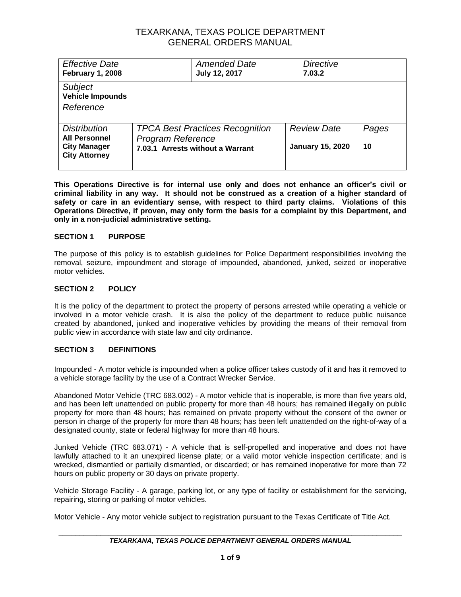| <b>Effective Date</b><br><b>February 1, 2008</b>                                           |                                                                                                        | <b>Amended Date</b><br><b>July 12, 2017</b> | <b>Directive</b><br>7.03.2                    |             |
|--------------------------------------------------------------------------------------------|--------------------------------------------------------------------------------------------------------|---------------------------------------------|-----------------------------------------------|-------------|
| Subject<br><b>Vehicle Impounds</b>                                                         |                                                                                                        |                                             |                                               |             |
| Reference                                                                                  |                                                                                                        |                                             |                                               |             |
| <b>Distribution</b><br><b>All Personnel</b><br><b>City Manager</b><br><b>City Attorney</b> | <b>TPCA Best Practices Recognition</b><br><b>Program Reference</b><br>7.03.1 Arrests without a Warrant |                                             | <b>Review Date</b><br><b>January 15, 2020</b> | Pages<br>10 |

**This Operations Directive is for internal use only and does not enhance an officer's civil or criminal liability in any way. It should not be construed as a creation of a higher standard of safety or care in an evidentiary sense, with respect to third party claims. Violations of this Operations Directive, if proven, may only form the basis for a complaint by this Department, and only in a non-judicial administrative setting.**

### **SECTION 1 PURPOSE**

The purpose of this policy is to establish guidelines for Police Department responsibilities involving the removal, seizure, impoundment and storage of impounded, abandoned, junked, seized or inoperative motor vehicles.

### **SECTION 2 POLICY**

It is the policy of the department to protect the property of persons arrested while operating a vehicle or involved in a motor vehicle crash. It is also the policy of the department to reduce public nuisance created by abandoned, junked and inoperative vehicles by providing the means of their removal from public view in accordance with state law and city ordinance.

### **SECTION 3 DEFINITIONS**

Impounded - A motor vehicle is impounded when a police officer takes custody of it and has it removed to a vehicle storage facility by the use of a Contract Wrecker Service.

Abandoned Motor Vehicle (TRC 683.002) - A motor vehicle that is inoperable, is more than five years old, and has been left unattended on public property for more than 48 hours; has remained illegally on public property for more than 48 hours; has remained on private property without the consent of the owner or person in charge of the property for more than 48 hours; has been left unattended on the right-of-way of a designated county, state or federal highway for more than 48 hours.

Junked Vehicle (TRC 683.071) - A vehicle that is self-propelled and inoperative and does not have lawfully attached to it an unexpired license plate; or a valid motor vehicle inspection certificate; and is wrecked, dismantled or partially dismantled, or discarded; or has remained inoperative for more than 72 hours on public property or 30 days on private property.

Vehicle Storage Facility - A garage, parking lot, or any type of facility or establishment for the servicing, repairing, storing or parking of motor vehicles.

Motor Vehicle - Any motor vehicle subject to registration pursuant to the Texas Certificate of Title Act.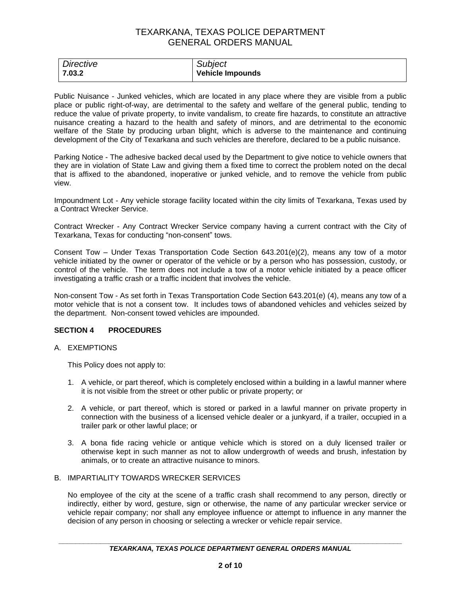| <b>Directive</b> | <b>Subject</b>   |
|------------------|------------------|
| 7.03.2           | Vehicle Impounds |

Public Nuisance - Junked vehicles, which are located in any place where they are visible from a public place or public right-of-way, are detrimental to the safety and welfare of the general public, tending to reduce the value of private property, to invite vandalism, to create fire hazards, to constitute an attractive nuisance creating a hazard to the health and safety of minors, and are detrimental to the economic welfare of the State by producing urban blight, which is adverse to the maintenance and continuing development of the City of Texarkana and such vehicles are therefore, declared to be a public nuisance.

Parking Notice - The adhesive backed decal used by the Department to give notice to vehicle owners that they are in violation of State Law and giving them a fixed time to correct the problem noted on the decal that is affixed to the abandoned, inoperative or junked vehicle, and to remove the vehicle from public view.

Impoundment Lot - Any vehicle storage facility located within the city limits of Texarkana, Texas used by a Contract Wrecker Service.

Contract Wrecker - Any Contract Wrecker Service company having a current contract with the City of Texarkana, Texas for conducting "non-consent" tows.

Consent Tow – Under Texas Transportation Code Section  $643.201(e)(2)$ , means any tow of a motor vehicle initiated by the owner or operator of the vehicle or by a person who has possession, custody, or control of the vehicle. The term does not include a tow of a motor vehicle initiated by a peace officer investigating a traffic crash or a traffic incident that involves the vehicle.

Non-consent Tow - As set forth in Texas Transportation Code Section 643.201(e) (4), means any tow of a motor vehicle that is not a consent tow. It includes tows of abandoned vehicles and vehicles seized by the department. Non-consent towed vehicles are impounded.

### **SECTION 4 PROCEDURES**

#### A. EXEMPTIONS

This Policy does not apply to:

- 1. A vehicle, or part thereof, which is completely enclosed within a building in a lawful manner where it is not visible from the street or other public or private property; or
- 2. A vehicle, or part thereof, which is stored or parked in a lawful manner on private property in connection with the business of a licensed vehicle dealer or a junkyard, if a trailer, occupied in a trailer park or other lawful place; or
- 3. A bona fide racing vehicle or antique vehicle which is stored on a duly licensed trailer or otherwise kept in such manner as not to allow undergrowth of weeds and brush, infestation by animals, or to create an attractive nuisance to minors.

#### B. IMPARTIALITY TOWARDS WRECKER SERVICES

No employee of the city at the scene of a traffic crash shall recommend to any person, directly or indirectly, either by word, gesture, sign or otherwise, the name of any particular wrecker service or vehicle repair company; nor shall any employee influence or attempt to influence in any manner the decision of any person in choosing or selecting a wrecker or vehicle repair service.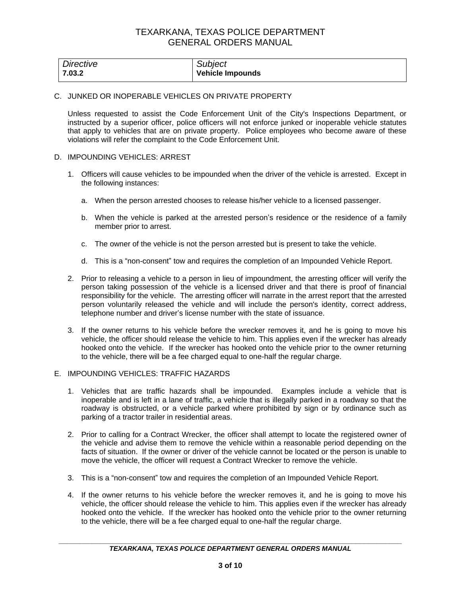| Directive | <b>Subject</b>          |
|-----------|-------------------------|
| 7.03.2    | <b>Vehicle Impounds</b> |

#### C. JUNKED OR INOPERABLE VEHICLES ON PRIVATE PROPERTY

Unless requested to assist the Code Enforcement Unit of the City's Inspections Department, or instructed by a superior officer, police officers will not enforce junked or inoperable vehicle statutes that apply to vehicles that are on private property. Police employees who become aware of these violations will refer the complaint to the Code Enforcement Unit.

#### D. IMPOUNDING VEHICLES: ARREST

- 1. Officers will cause vehicles to be impounded when the driver of the vehicle is arrested. Except in the following instances:
	- a. When the person arrested chooses to release his/her vehicle to a licensed passenger.
	- b. When the vehicle is parked at the arrested person's residence or the residence of a family member prior to arrest.
	- c. The owner of the vehicle is not the person arrested but is present to take the vehicle.
	- d. This is a "non-consent" tow and requires the completion of an Impounded Vehicle Report.
- 2. Prior to releasing a vehicle to a person in lieu of impoundment, the arresting officer will verify the person taking possession of the vehicle is a licensed driver and that there is proof of financial responsibility for the vehicle. The arresting officer will narrate in the arrest report that the arrested person voluntarily released the vehicle and will include the person's identity, correct address, telephone number and driver's license number with the state of issuance.
- 3. If the owner returns to his vehicle before the wrecker removes it, and he is going to move his vehicle, the officer should release the vehicle to him. This applies even if the wrecker has already hooked onto the vehicle. If the wrecker has hooked onto the vehicle prior to the owner returning to the vehicle, there will be a fee charged equal to one-half the regular charge.

#### E. IMPOUNDING VEHICLES: TRAFFIC HAZARDS

- 1. Vehicles that are traffic hazards shall be impounded. Examples include a vehicle that is inoperable and is left in a lane of traffic, a vehicle that is illegally parked in a roadway so that the roadway is obstructed, or a vehicle parked where prohibited by sign or by ordinance such as parking of a tractor trailer in residential areas.
- 2. Prior to calling for a Contract Wrecker, the officer shall attempt to locate the registered owner of the vehicle and advise them to remove the vehicle within a reasonable period depending on the facts of situation. If the owner or driver of the vehicle cannot be located or the person is unable to move the vehicle, the officer will request a Contract Wrecker to remove the vehicle.
- 3. This is a "non-consent" tow and requires the completion of an Impounded Vehicle Report.
- 4. If the owner returns to his vehicle before the wrecker removes it, and he is going to move his vehicle, the officer should release the vehicle to him. This applies even if the wrecker has already hooked onto the vehicle. If the wrecker has hooked onto the vehicle prior to the owner returning to the vehicle, there will be a fee charged equal to one-half the regular charge.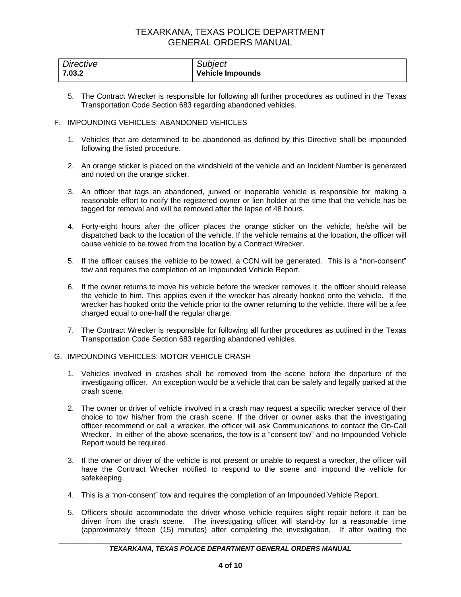| Directive | Subject                 |
|-----------|-------------------------|
| 7.03.2    | <b>Vehicle Impounds</b> |

- 5. The Contract Wrecker is responsible for following all further procedures as outlined in the Texas Transportation Code Section 683 regarding abandoned vehicles.
- F. IMPOUNDING VEHICLES: ABANDONED VEHICLES
	- 1. Vehicles that are determined to be abandoned as defined by this Directive shall be impounded following the listed procedure.
	- 2. An orange sticker is placed on the windshield of the vehicle and an Incident Number is generated and noted on the orange sticker.
	- 3. An officer that tags an abandoned, junked or inoperable vehicle is responsible for making a reasonable effort to notify the registered owner or lien holder at the time that the vehicle has be tagged for removal and will be removed after the lapse of 48 hours.
	- 4. Forty-eight hours after the officer places the orange sticker on the vehicle, he/she will be dispatched back to the location of the vehicle. If the vehicle remains at the location, the officer will cause vehicle to be towed from the location by a Contract Wrecker.
	- 5. If the officer causes the vehicle to be towed, a CCN will be generated. This is a "non-consent" tow and requires the completion of an Impounded Vehicle Report.
	- 6. If the owner returns to move his vehicle before the wrecker removes it, the officer should release the vehicle to him. This applies even if the wrecker has already hooked onto the vehicle. If the wrecker has hooked onto the vehicle prior to the owner returning to the vehicle, there will be a fee charged equal to one-half the regular charge.
	- 7. The Contract Wrecker is responsible for following all further procedures as outlined in the Texas Transportation Code Section 683 regarding abandoned vehicles.
- G. IMPOUNDING VEHICLES: MOTOR VEHICLE CRASH
	- 1. Vehicles involved in crashes shall be removed from the scene before the departure of the investigating officer. An exception would be a vehicle that can be safely and legally parked at the crash scene.
	- 2. The owner or driver of vehicle involved in a crash may request a specific wrecker service of their choice to tow his/her from the crash scene. If the driver or owner asks that the investigating officer recommend or call a wrecker, the officer will ask Communications to contact the On-Call Wrecker. In either of the above scenarios, the tow is a "consent tow" and no Impounded Vehicle Report would be required.
	- 3. If the owner or driver of the vehicle is not present or unable to request a wrecker, the officer will have the Contract Wrecker notified to respond to the scene and impound the vehicle for safekeeping.
	- 4. This is a "non-consent" tow and requires the completion of an Impounded Vehicle Report.
	- 5. Officers should accommodate the driver whose vehicle requires slight repair before it can be driven from the crash scene. The investigating officer will stand-by for a reasonable time (approximately fifteen (15) minutes) after completing the investigation. If after waiting the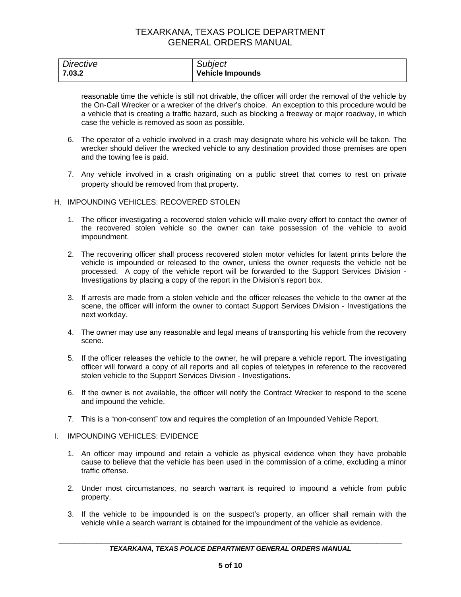| Directive | Subject                 |
|-----------|-------------------------|
| 7.03.2    | <b>Vehicle Impounds</b> |

reasonable time the vehicle is still not drivable, the officer will order the removal of the vehicle by the On-Call Wrecker or a wrecker of the driver's choice. An exception to this procedure would be a vehicle that is creating a traffic hazard, such as blocking a freeway or major roadway, in which case the vehicle is removed as soon as possible.

- 6. The operator of a vehicle involved in a crash may designate where his vehicle will be taken. The wrecker should deliver the wrecked vehicle to any destination provided those premises are open and the towing fee is paid.
- 7. Any vehicle involved in a crash originating on a public street that comes to rest on private property should be removed from that property.

### H. IMPOUNDING VEHICLES: RECOVERED STOLEN

- 1. The officer investigating a recovered stolen vehicle will make every effort to contact the owner of the recovered stolen vehicle so the owner can take possession of the vehicle to avoid impoundment.
- 2. The recovering officer shall process recovered stolen motor vehicles for latent prints before the vehicle is impounded or released to the owner, unless the owner requests the vehicle not be processed. A copy of the vehicle report will be forwarded to the Support Services Division - Investigations by placing a copy of the report in the Division's report box.
- 3. If arrests are made from a stolen vehicle and the officer releases the vehicle to the owner at the scene, the officer will inform the owner to contact Support Services Division - Investigations the next workday.
- 4. The owner may use any reasonable and legal means of transporting his vehicle from the recovery scene.
- 5. If the officer releases the vehicle to the owner, he will prepare a vehicle report. The investigating officer will forward a copy of all reports and all copies of teletypes in reference to the recovered stolen vehicle to the Support Services Division - Investigations.
- 6. If the owner is not available, the officer will notify the Contract Wrecker to respond to the scene and impound the vehicle.
- 7. This is a "non-consent" tow and requires the completion of an Impounded Vehicle Report.
- I. IMPOUNDING VEHICLES: EVIDENCE
	- 1. An officer may impound and retain a vehicle as physical evidence when they have probable cause to believe that the vehicle has been used in the commission of a crime, excluding a minor traffic offense.
	- 2. Under most circumstances, no search warrant is required to impound a vehicle from public property.
	- 3. If the vehicle to be impounded is on the suspect's property, an officer shall remain with the vehicle while a search warrant is obtained for the impoundment of the vehicle as evidence.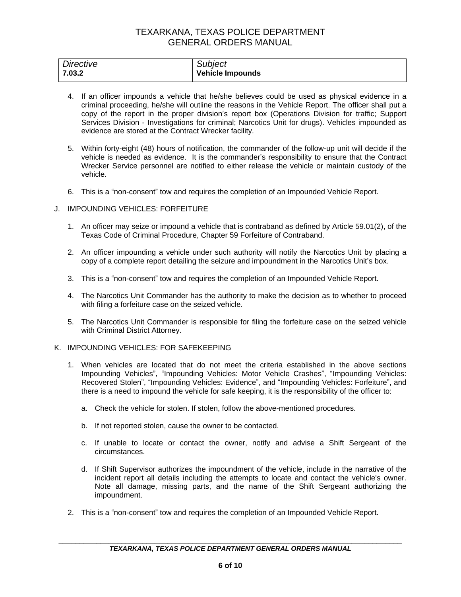| Directive | Subject                 |
|-----------|-------------------------|
| 7.03.2    | <b>Vehicle Impounds</b> |

- 4. If an officer impounds a vehicle that he/she believes could be used as physical evidence in a criminal proceeding, he/she will outline the reasons in the Vehicle Report. The officer shall put a copy of the report in the proper division's report box (Operations Division for traffic; Support Services Division - Investigations for criminal; Narcotics Unit for drugs). Vehicles impounded as evidence are stored at the Contract Wrecker facility.
- 5. Within forty-eight (48) hours of notification, the commander of the follow-up unit will decide if the vehicle is needed as evidence. It is the commander's responsibility to ensure that the Contract Wrecker Service personnel are notified to either release the vehicle or maintain custody of the vehicle.
- 6. This is a "non-consent" tow and requires the completion of an Impounded Vehicle Report.

### J. IMPOUNDING VEHICLES: FORFEITURE

- 1. An officer may seize or impound a vehicle that is contraband as defined by Article 59.01(2), of the Texas Code of Criminal Procedure, Chapter 59 Forfeiture of Contraband.
- 2. An officer impounding a vehicle under such authority will notify the Narcotics Unit by placing a copy of a complete report detailing the seizure and impoundment in the Narcotics Unit's box.
- 3. This is a "non-consent" tow and requires the completion of an Impounded Vehicle Report.
- 4. The Narcotics Unit Commander has the authority to make the decision as to whether to proceed with filing a forfeiture case on the seized vehicle.
- 5. The Narcotics Unit Commander is responsible for filing the forfeiture case on the seized vehicle with Criminal District Attorney.
- K. IMPOUNDING VEHICLES: FOR SAFEKEEPING
	- 1. When vehicles are located that do not meet the criteria established in the above sections Impounding Vehicles", "Impounding Vehicles: Motor Vehicle Crashes", "Impounding Vehicles: Recovered Stolen", "Impounding Vehicles: Evidence", and "Impounding Vehicles: Forfeiture", and there is a need to impound the vehicle for safe keeping, it is the responsibility of the officer to:
		- a. Check the vehicle for stolen. If stolen, follow the above-mentioned procedures.
		- b. If not reported stolen, cause the owner to be contacted.
		- c. If unable to locate or contact the owner, notify and advise a Shift Sergeant of the circumstances.
		- d. If Shift Supervisor authorizes the impoundment of the vehicle, include in the narrative of the incident report all details including the attempts to locate and contact the vehicle's owner. Note all damage, missing parts, and the name of the Shift Sergeant authorizing the impoundment.
	- 2. This is a "non-consent" tow and requires the completion of an Impounded Vehicle Report.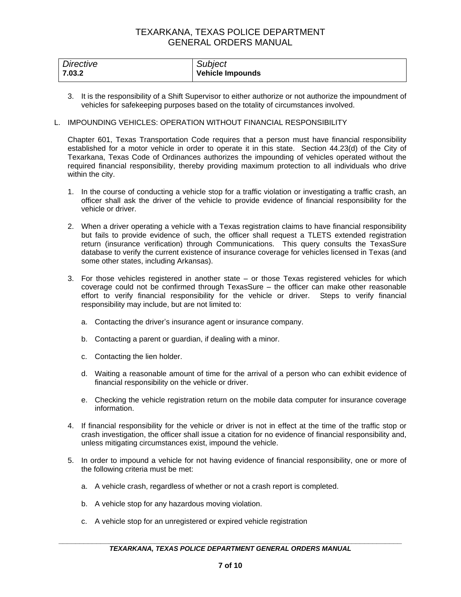| Directive | Subject                 |
|-----------|-------------------------|
| 7.03.2    | <b>Vehicle Impounds</b> |

3. It is the responsibility of a Shift Supervisor to either authorize or not authorize the impoundment of vehicles for safekeeping purposes based on the totality of circumstances involved.

## L. IMPOUNDING VEHICLES: OPERATION WITHOUT FINANCIAL RESPONSIBILITY

Chapter 601, Texas Transportation Code requires that a person must have financial responsibility established for a motor vehicle in order to operate it in this state. Section 44.23(d) of the City of Texarkana, Texas Code of Ordinances authorizes the impounding of vehicles operated without the required financial responsibility, thereby providing maximum protection to all individuals who drive within the city.

- 1. In the course of conducting a vehicle stop for a traffic violation or investigating a traffic crash, an officer shall ask the driver of the vehicle to provide evidence of financial responsibility for the vehicle or driver.
- 2. When a driver operating a vehicle with a Texas registration claims to have financial responsibility but fails to provide evidence of such, the officer shall request a TLETS extended registration return (insurance verification) through Communications. This query consults the TexasSure database to verify the current existence of insurance coverage for vehicles licensed in Texas (and some other states, including Arkansas).
- 3. For those vehicles registered in another state or those Texas registered vehicles for which coverage could not be confirmed through TexasSure – the officer can make other reasonable effort to verify financial responsibility for the vehicle or driver. Steps to verify financial responsibility may include, but are not limited to:
	- a. Contacting the driver's insurance agent or insurance company.
	- b. Contacting a parent or guardian, if dealing with a minor.
	- c. Contacting the lien holder.
	- d. Waiting a reasonable amount of time for the arrival of a person who can exhibit evidence of financial responsibility on the vehicle or driver.
	- e. Checking the vehicle registration return on the mobile data computer for insurance coverage information.
- 4. If financial responsibility for the vehicle or driver is not in effect at the time of the traffic stop or crash investigation, the officer shall issue a citation for no evidence of financial responsibility and, unless mitigating circumstances exist, impound the vehicle.
- 5. In order to impound a vehicle for not having evidence of financial responsibility, one or more of the following criteria must be met:
	- a. A vehicle crash, regardless of whether or not a crash report is completed.
	- b. A vehicle stop for any hazardous moving violation.
	- c. A vehicle stop for an unregistered or expired vehicle registration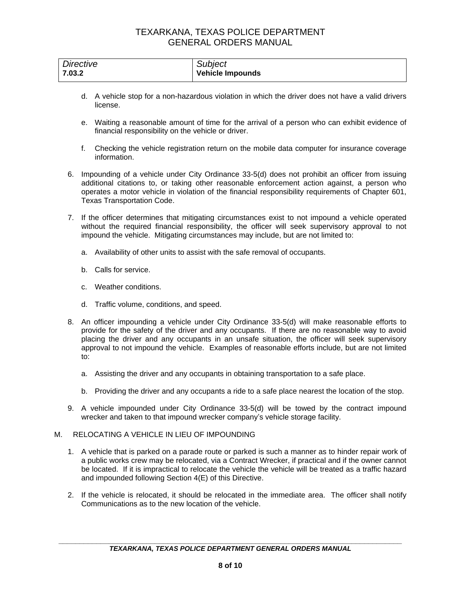| Directive | Subject          |
|-----------|------------------|
| 7.03.2    | Vehicle Impounds |

- d. A vehicle stop for a non-hazardous violation in which the driver does not have a valid drivers license.
- e. Waiting a reasonable amount of time for the arrival of a person who can exhibit evidence of financial responsibility on the vehicle or driver.
- f. Checking the vehicle registration return on the mobile data computer for insurance coverage information.
- 6. Impounding of a vehicle under City Ordinance 33-5(d) does not prohibit an officer from issuing additional citations to, or taking other reasonable enforcement action against, a person who operates a motor vehicle in violation of the financial responsibility requirements of Chapter 601, Texas Transportation Code.
- 7. If the officer determines that mitigating circumstances exist to not impound a vehicle operated without the required financial responsibility, the officer will seek supervisory approval to not impound the vehicle. Mitigating circumstances may include, but are not limited to:
	- a. Availability of other units to assist with the safe removal of occupants.
	- b. Calls for service.
	- c. Weather conditions.
	- d. Traffic volume, conditions, and speed.
- 8. An officer impounding a vehicle under City Ordinance 33-5(d) will make reasonable efforts to provide for the safety of the driver and any occupants. If there are no reasonable way to avoid placing the driver and any occupants in an unsafe situation, the officer will seek supervisory approval to not impound the vehicle. Examples of reasonable efforts include, but are not limited to:
	- a. Assisting the driver and any occupants in obtaining transportation to a safe place.
	- b. Providing the driver and any occupants a ride to a safe place nearest the location of the stop.
- 9. A vehicle impounded under City Ordinance 33-5(d) will be towed by the contract impound wrecker and taken to that impound wrecker company's vehicle storage facility.

#### M. RELOCATING A VEHICLE IN LIEU OF IMPOUNDING

- 1. A vehicle that is parked on a parade route or parked is such a manner as to hinder repair work of a public works crew may be relocated, via a Contract Wrecker, if practical and if the owner cannot be located. If it is impractical to relocate the vehicle the vehicle will be treated as a traffic hazard and impounded following Section 4(E) of this Directive.
- 2. If the vehicle is relocated, it should be relocated in the immediate area. The officer shall notify Communications as to the new location of the vehicle.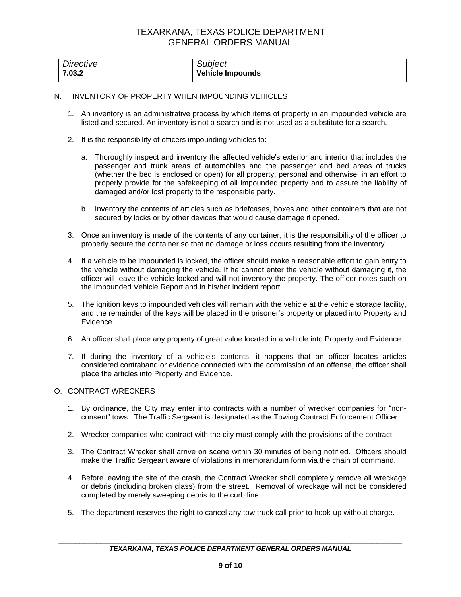| Directive | <b>Subject</b>          |
|-----------|-------------------------|
| 7.03.2    | <b>Vehicle Impounds</b> |

### N. INVENTORY OF PROPERTY WHEN IMPOUNDING VEHICLES

- 1. An inventory is an administrative process by which items of property in an impounded vehicle are listed and secured. An inventory is not a search and is not used as a substitute for a search.
- 2. It is the responsibility of officers impounding vehicles to:
	- a. Thoroughly inspect and inventory the affected vehicle's exterior and interior that includes the passenger and trunk areas of automobiles and the passenger and bed areas of trucks (whether the bed is enclosed or open) for all property, personal and otherwise, in an effort to properly provide for the safekeeping of all impounded property and to assure the liability of damaged and/or lost property to the responsible party.
	- b. Inventory the contents of articles such as briefcases, boxes and other containers that are not secured by locks or by other devices that would cause damage if opened.
- 3. Once an inventory is made of the contents of any container, it is the responsibility of the officer to properly secure the container so that no damage or loss occurs resulting from the inventory.
- 4. If a vehicle to be impounded is locked, the officer should make a reasonable effort to gain entry to the vehicle without damaging the vehicle. If he cannot enter the vehicle without damaging it, the officer will leave the vehicle locked and will not inventory the property. The officer notes such on the Impounded Vehicle Report and in his/her incident report.
- 5. The ignition keys to impounded vehicles will remain with the vehicle at the vehicle storage facility, and the remainder of the keys will be placed in the prisoner's property or placed into Property and Evidence.
- 6. An officer shall place any property of great value located in a vehicle into Property and Evidence.
- 7. If during the inventory of a vehicle's contents, it happens that an officer locates articles considered contraband or evidence connected with the commission of an offense, the officer shall place the articles into Property and Evidence.

## O. CONTRACT WRECKERS

- 1. By ordinance, the City may enter into contracts with a number of wrecker companies for "nonconsent" tows. The Traffic Sergeant is designated as the Towing Contract Enforcement Officer.
- 2. Wrecker companies who contract with the city must comply with the provisions of the contract.
- 3. The Contract Wrecker shall arrive on scene within 30 minutes of being notified. Officers should make the Traffic Sergeant aware of violations in memorandum form via the chain of command.
- 4. Before leaving the site of the crash, the Contract Wrecker shall completely remove all wreckage or debris (including broken glass) from the street. Removal of wreckage will not be considered completed by merely sweeping debris to the curb line.
- 5. The department reserves the right to cancel any tow truck call prior to hook-up without charge.